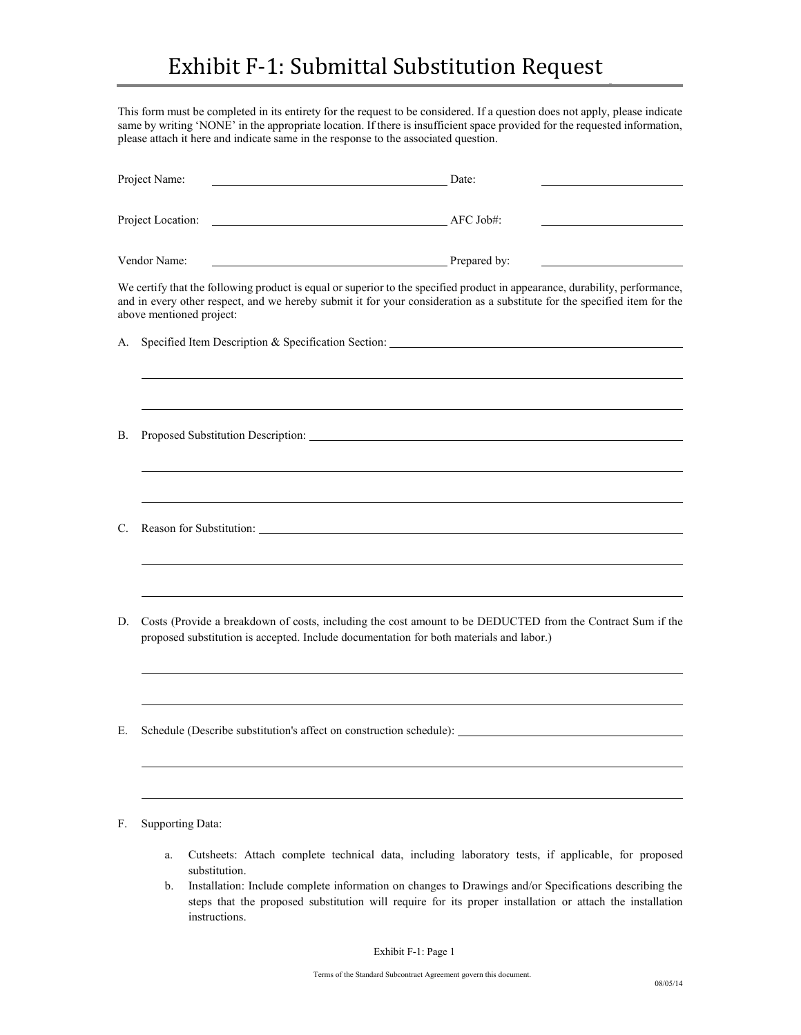This form must be completed in its entirety for the request to be considered. If a question does not apply, please indicate same by writing 'NONE' in the appropriate location. If there is insufficient space provided for the requested information, please attach it here and indicate same in the response to the associated question.

| Project Name:<br>Project Location:<br>Vendor Name: |                          | Date:                                                                                                                                                                                                                                                    |  |  |
|----------------------------------------------------|--------------------------|----------------------------------------------------------------------------------------------------------------------------------------------------------------------------------------------------------------------------------------------------------|--|--|
|                                                    |                          | AFC Job#:                                                                                                                                                                                                                                                |  |  |
|                                                    |                          | <b>Example 2</b> Prepared by:                                                                                                                                                                                                                            |  |  |
|                                                    | above mentioned project: | We certify that the following product is equal or superior to the specified product in appearance, durability, performance,<br>and in every other respect, and we hereby submit it for your consideration as a substitute for the specified item for the |  |  |
| А.                                                 |                          |                                                                                                                                                                                                                                                          |  |  |
|                                                    |                          |                                                                                                                                                                                                                                                          |  |  |
| <b>B.</b>                                          |                          |                                                                                                                                                                                                                                                          |  |  |
| C.                                                 |                          |                                                                                                                                                                                                                                                          |  |  |
| D.                                                 |                          | Costs (Provide a breakdown of costs, including the cost amount to be DEDUCTED from the Contract Sum if the<br>proposed substitution is accepted. Include documentation for both materials and labor.)                                                    |  |  |
| Е.                                                 |                          | Schedule (Describe substitution's affect on construction schedule): ________________________________                                                                                                                                                     |  |  |
| F.                                                 | Supporting Data:         |                                                                                                                                                                                                                                                          |  |  |

- a. Cutsheets: Attach complete technical data, including laboratory tests, if applicable, for proposed substitution.
- b. Installation: Include complete information on changes to Drawings and/or Specifications describing the steps that the proposed substitution will require for its proper installation or attach the installation instructions.

Exhibit F-1: Page 1